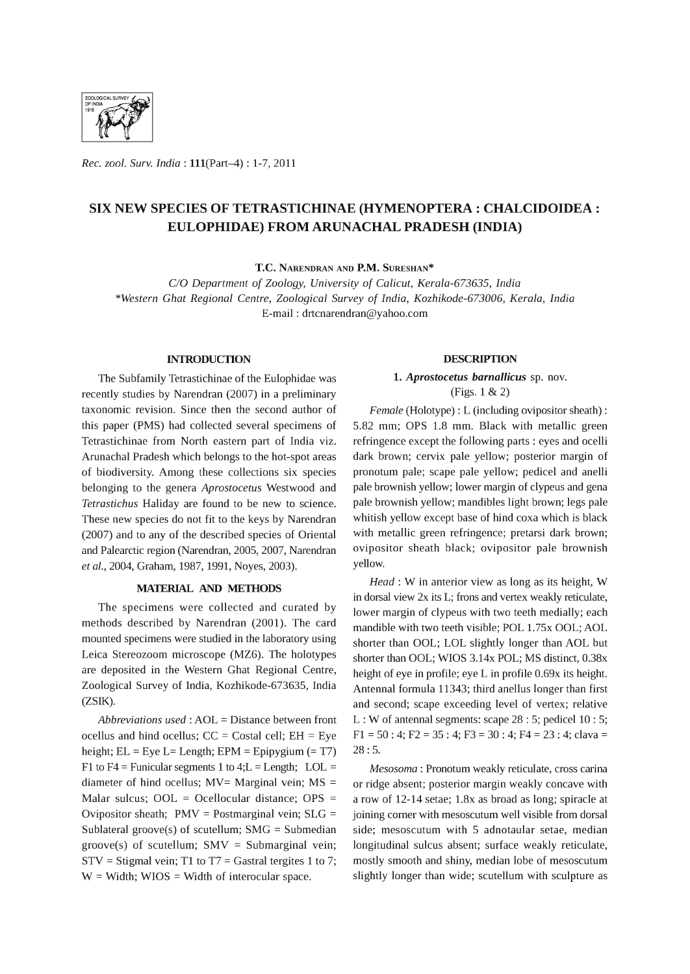

*Rec. zool. Surv. India:* 111(Part-4) : 1-7,2011

# SIX NEW SPECIES OF TETRASTICHINAE (HYMENOPTERA: CHALCIDOIDEA : EULOPHIDAE) FROM ARUNACHAL PRADESH (INDIA)

T.C. NARENDRAN AND P.M. SURESHAN\*

C/O *Department* of *Zoology, University* of *Calicut, Kerala-673635, India \*Western Ghat Regional Centre, Zoological Survey* of *India, Kozhikode-673006, Kerala, India*  E-mail: drtcnarendran@yahoo.com

## **INTRODUCTION**

The Subfamily Tetrastichinae of the Eulophidae was recently studies by Narendran (2007) in a preliminary taxonomic revision. Since then the second author of this paper (PMS) had collected several specimens of Tetrastichinae from North eastern part of India viz. Arunachal Pradesh which belongs to the hot-spot areas of biodiversity. Among these collections six species belonging to the genera *Aprostocetus* Westwood and *Tetrastichus* Haliday are found to be new to science. These new species do not fit to the keys by Narendran (2007) and to any of the described species of Oriental and Palearctic region (Narendran, 2005, 2007, Narendran *et al.,* 2004, Graham, 1987, 1991, Noyes, 2003).

## MATERIAL AND ME'IHODS

The specimens were collected and curated by methods described by Narendran (2001). The card mounted specimens were studied in the laboratory using Leica Stereozoom microscope (MZ6). The holotypes are deposited in the Western Ghat Regional Centre, Zoological Survey of India, Kozhikode-673635, India (ZSIK).

*Abbreviations used:* AOL = Distance between front ocellus and hind ocellus;  $CC = Costal cell$ ;  $EH = Eye$ height;  $EL = Eye L = Length$ ;  $EPM = Epipygium (= T7)$ F1 to F4 = Funicular segments 1 to 4; $L =$  Length; LOL = diameter of hind ocellus;  $MV=$  Marginal vein;  $MS =$ Malar sulcus; OOL = Ocellocular distance; OPS = Ovipositor sheath;  $PMV = Postmarginal$  vein;  $SLG =$ Sublateral groove(s) of scutellum;  $SMG = Submedian$ groove(s) of scutellum;  $SMV = Submarginal$  vein;  $STV = Stigmal vein; T1 to T7 = Gastral tergites 1 to 7;$  $W =$  Width; WIOS = Width of interocular space.

### **DESCRIPTION**

## 1. *Aprostocetus barnallicus* sp. nov. (Figs. 1 & 2)

*Female* (Holotype) : L (including ovipositor sheath) : 5.82 mm; OPS 1.8 mm. Black with metallic green refringence except the following parts : eyes and ocelli dark brown; cervix pale yellow; posterior margin of pronotum pale; scape pale yellow; pedicel and anelli pale brownish yellow; lower margin of clypeus and gena pale brownish yellow; mandibles light brown; legs pale whitish yellow except base of hind coxa which is black with metallic green refringence; pretarsi dark brown; ovipositor sheath black; ovipositor pale brownish yellow.

*Head:* W in anterior view as long as its height, W in dorsal view 2x its L; frons and vertex weakly reticulate, lower margin of clypeus with two teeth medially; each mandible with two teeth visible; POL 1.75x OOL; AOL shorter than OOL; LOL slightly longer than AOL but shorter than OOL; WIOS 3.14x POL; MS distinct, 0.38x height of eye in profile; eye L in profile 0.69x its height. Antennal formula 11343; third anellus longer than first and second; scape exceeding level of vertex; relative L : W of antennal segments: scape 28 : 5; pedicel 10 : 5; Fl = 50 : 4; F2 = 35 : 4; F3 = 30 : 4; F4 = 23 : 4; clava = 28: 5.

*Mesosoma* : Pronotum weakly reticulate, cross carina or ridge absent; posterior margin weakly concave with a row of 12-14 setae; 1.8x as broad as long; spiracle at joining corner with mesoscutum well visible from dorsal side; mesoscutum with 5 adnotaular setae, median longitudinal sulcus absent; surface weakly reticulate, mostly smooth and shiny, median lobe of mesoscutum slightly longer than wide; scutellum with sculpture as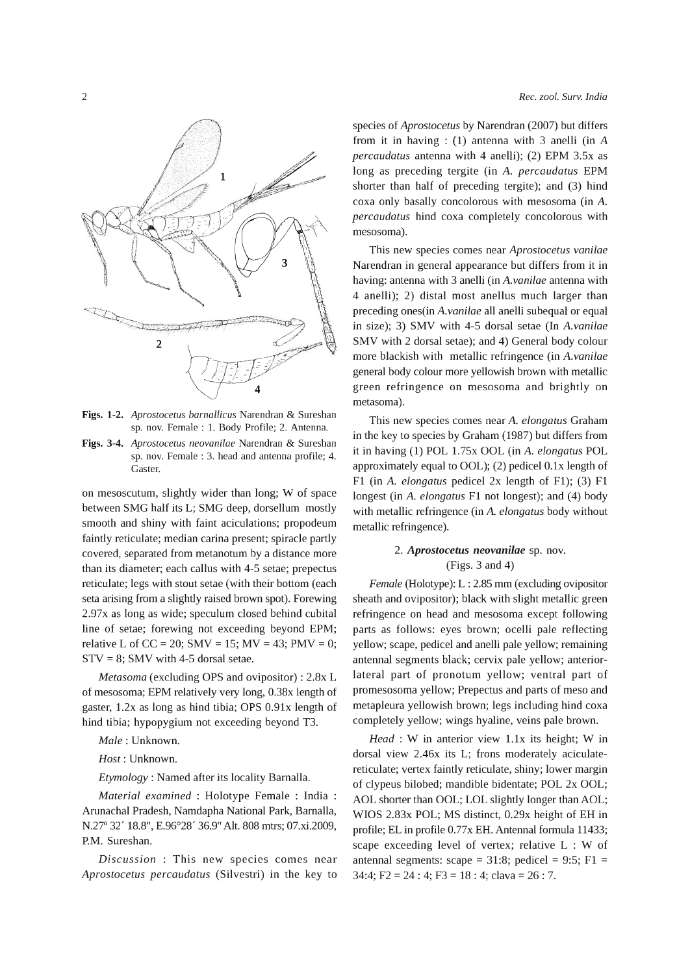

Figs. 1-2. *Aprostocetus barnallicus* Narendran & Sureshan sp. nov. Female : 1. Body Profile; 2. Antenna.

Figs. 3-4. *Aprostocetus neovanilae* Narendran & Sureshan sp. nov. Female: 3. head and antenna profile; 4. Gaster.

on mesoscutum, slightly wider than long; W of space between SMG half its L; SMG deep, dorsellum mostly smooth and shiny with faint aciculations; propodeum faintly reticulate; median carina present; spiracle partly covered, separated from metanotum by a distance more than its diameter; each callus with 4-5 setae; prepectus reticulate; legs with stout setae (with their bottom (each seta arising from a slightly raised brown spot). Forewing 2.97x as long as wide; speculum closed behind cubital line of setae; forewing not exceeding beyond EPM; relative L of CC = 20; SMV = 15; MV = 43; PMV = 0;  $STV = 8$ ; SMV with 4-5 dorsal setae.

*Metasoma* (excluding OPS and ovipositor) : 2.8x L of mesosoma; EPM relatively very long, 0.38x length of gaster, 1.2x as long as hind tibia; OPS 0.91x length of hind tibia; hypopygium not exceeding beyond T3.

*Male:* Unknown.

*Host:* Unknown.

*Etymology:* Named after its locality Bamalla.

*Material examined* : Holotype Female : India Arunachal Pradesh, Namdapha National Park, Bamalla, N.27° 32' 18.8", E.96°28' 36.9" Alt. 808 mtrs; 07.xi.2009, P.M. Sureshan.

*Discussion* : This new species comes near *Aprostocetus percaudatus* (Silvestri) in the key to species of *Aprostocetus* by Narendran (2007) but differs from it in having : (1) antenna with 3 anelli (in *A percaudatus* antenna with 4 anelli); (2) EPM 3.5x as long as preceding tergite (in *A. percaudatus* EPM shorter than half of preceding tergite); and (3) hind coxa only basally concolorous with mesosoma (in A. *percaudatus* hind coxa completely concolorous with mesosoma).

This new species comes near *Aprostocetus vanilae*  Narendran in general appearance but differs from it in having: antenna with 3 anelli (in *A. vanilae* antenna with 4 anelli); 2) distal most anellus much larger than preceding ones(in *A. vanilae* all anelli subequal or equal in size); 3) SMV with 4-5 dorsal setae (In *A. vanilae*  SMV with 2 dorsal setae); and 4) General body colour more blackish with metallic refringence (in *A. vanilae*  general body colour more yellowish brown with metallic green refringence on mesosoma and brightly on metasoma).

This new species comes near *A. elongatus* Graham in the key to species by Graham (1987) but differs from it in having (1) POL 1. 75x OOL (in *A. elongatus* POL approximately equal to OOL); (2) pedicel O.lx length of Fl (in *A. elongatus* pedicel 2x length of Fl); (3) Fl longest (in *A. elongatus* Fl not longest); and (4) body with metallic refringence (in A. *elongatus* body without metallic refringence).

## *2. Aprostocetus neovanilae* sp. nov. (Figs. 3 and 4)

*Female* (Holotype): L : 2.85 mm (excluding ovipositor sheath and ovipositor); black with slight metallic green refringence on head and mesosoma except following parts as follows: eyes brown; ocelli pale reflecting yellow; scape, pedicel and anelli pale yellow; remaining antennal segments black; cervix pale yellow; anteriorlateral part of pronotum yellow; ventral part of promesosoma yellow; Prepectus and parts of meso and metapleura yellowish brown; legs including hind coxa completely yellow; wings hyaline, veins pale brown.

*Head* : W in anterior view 1.1x its height; W in dorsal view 2.46x its L; frons moderately aciculatereticulate; vertex faintly reticulate, shiny; lower margin of clypeus bilobed; mandible bidentate; POL 2x OOL; AOL shorter than OOL; LOL slightly longer than AOL; WIOS 2.83x POL; MS distinct, 0.29x height of EH in profile; EL in profile 0.77x EH. Antennal formula 11433; scape exceeding level of vertex; relative L : W of antennal segments: scape =  $31:8$ ; pedicel =  $9:5$ ; F1 = 34:4; F2 = 24 : 4; F3 = 18 : 4; clava = 26 : 7.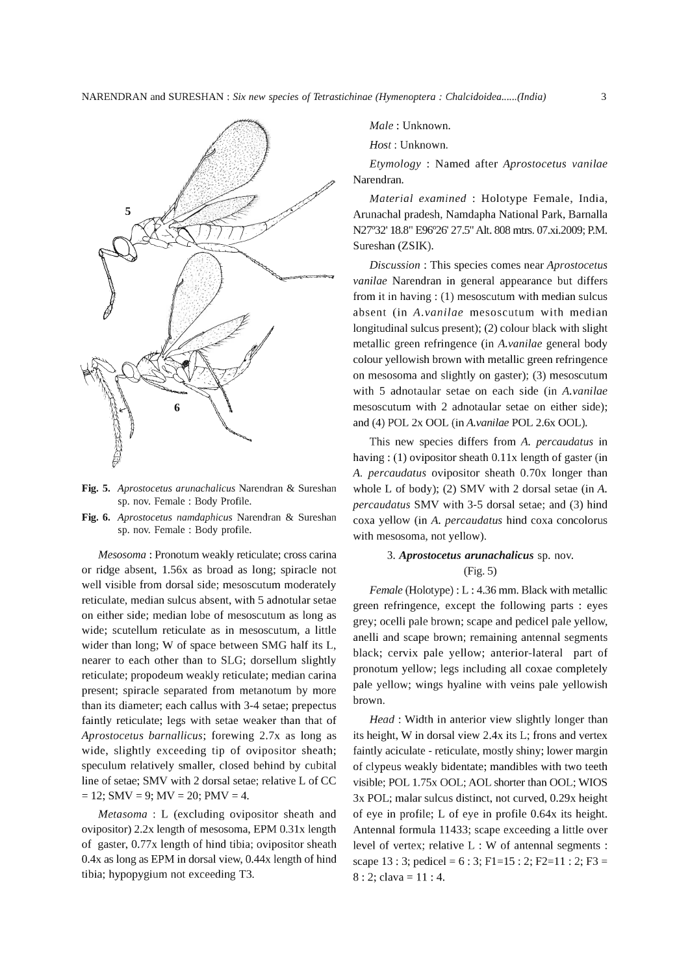

- Fig. 5. *Aprostocetus arunachalicus* Narendran & Sureshan sp. nov. Female : Body Profile.
- Fig. 6. *Aprostocetus namdaphicus* Narendran & Sureshan sp. nov. Female : Body profile.

*Mesosoma* : Pronotum weakly reticulate; cross carina or ridge absent, 1.56x as broad as long; spiracle not well visible from dorsal side; mesoscutum moderately reticulate, median sulcus absent, with 5 adnotular setae on either side; median lobe of mesoscutum as long as wide; scutellum reticulate as in mesoscutum, a little wider than long; W of space between SMG half its L, nearer to each other than to SLG; dorsellum slightly reticulate; propodeum weakly reticulate; median carina present; spiracle separated from metanotum by more than its diameter; each callus with 3-4 setae; prepectus faintly reticulate; legs with setae weaker than that of *Aprostocetus barnallicus;* forewing 2.7x as long as wide, slightly exceeding tip of ovipositor sheath; speculum relatively smaller, closed behind by cubital line of setae; SMV with 2 dorsal setae; relative L of CC  $= 12$ ; SMV = 9; MV = 20; PMV = 4.

*Metasoma* : L (excluding ovipositor sheath and ovipositor) 2.2x length of mesosoma, EPM 0.31x length of gaster, 0.77x length of hind tibia; ovipositor sheath *OAx* as long as EPM in dorsal view, *OA4x* length of hind tibia; hypopygium not exceeding T3.

*Male:* Unknown.

*Host:* Unknown.

*Etymology* : Named after *Aprostocetus vanilae*  Narendran.

*Material examined* : Holotype Female, India, Arunachal pradesh, Namdapha National Park, Bamalla N27°32' 18.8" E96°26' 27.5" Alt. 808 mtrs. 07.xi.2009; P.M. Sureshan (ZSIK).

*Discussion* : This species comes near *Aprostocetus vanilae* Narendran in general appearance but differs from it in having:  $(1)$  mesoscutum with median sulcus absent (in *A. vanilae* meso scutum with median longitudinal sulcus present); (2) colour black with slight metallic green refringence (in *A. vanilae* general body colour yellowish brown with metallic green refringence on mesosoma and slightly on gaster); (3) mesoscutum with 5 adnotaular setae on each side (in *A. vanilae*  mesoscutum with 2 adnotaular setae on either side); and (4) POL 2x OOL *(inA.vanilae* POL 2.6x OOL).

This new species differs from *A. percaudatus* in having:  $(1)$  ovipositor sheath  $0.11x$  length of gaster (in *A. percaudatus* ovipositor sheath 0.70x longer than whole L of body); (2) SMV with 2 dorsal setae (in A. *percaudatus* SMV with 3-5 dorsal setae; and (3) hind coxa yellow (in *A. percaudatus* hind coxa concolorus with mesosoma, not yellow).

## *3. Aprostocetus arunachalicus* sp. nov. (Fig. 5)

*Female* (Holotype) : L : 4.36 mm. Black with metallic green refringence, except the following parts : eyes grey; ocelli pale brown; scape and pedicel pale yellow, anelli and scape brown; remaining antennal segments black; cervix pale yellow; anterior-lateral part of pronotum yellow; legs including all coxae completely pale yellow; wings hyaline with veins pale yellowish brown.

*Head:* Width in anterior view slightly longer than its height, W in dorsal view *2Ax* its L; frons and vertex faintly aciculate - reticulate, mostly shiny; lower margin of clypeus weakly bidentate; mandibles with two teeth visible; POL 1.75x OOL; AOL shorter than OOL; WIOS 3x POL; malar sulcus distinct, not curved, 0.29x height of eye in profile; L of eye in profile 0.64x its height. Antennal formula 11433; scape exceeding a little over level of vertex; relative L : W of antennal segments : scape 13 : 3; pedicel = 6 : 3; Fl=15 : 2; F2=11 : 2; F3 = 8 : 2; clava = 11 : 4.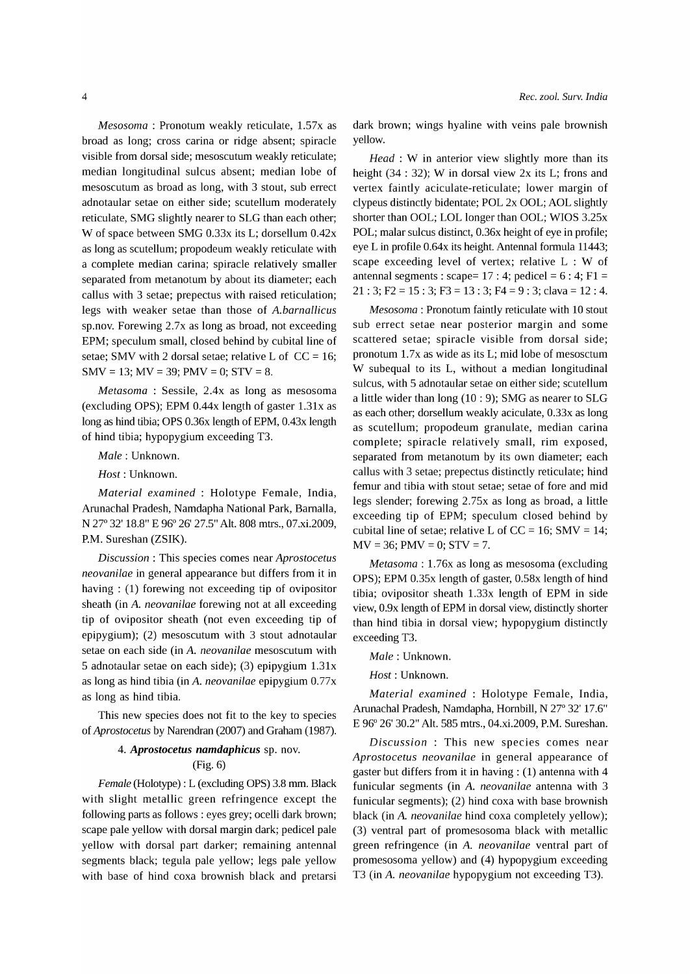*Mesosoma* : Pronotum weakly reticulate, 1.57x as broad as long; cross carina or ridge absent; spiracle visible from dorsal side; mesoscutum weakly reticulate; median longitudinal sulcus absent; median lobe of mesoscutum as broad as long, with 3 stout, sub errect adnotaular setae on either side; scutellum moderately reticulate, SMG slightly nearer to SLG than each other; W of space between SMG 0.33x its L; dorsellum 0.42x as long as scutellum; propodeum weakly reticulate with a complete median carina; spiracle relatively smaller separated from metanotum by about its diameter; each callus with 3 setae; prepectus with raised reticulation; legs with weaker setae than those of *A.barnallicus*  sp.nov. Forewing 2.7x as long as broad, not exceeding EPM; speculum small, closed behind by cubital line of setae; SMV with 2 dorsal setae; relative L of  $CC = 16$ ; SMV = 13; MV = 39; PMV = 0; STV = 8.

*Metasoma* : Sessile, 2.4x as long as mesosoma (excluding OPS); EPM 0.44x length of gaster 1.31x as long as hind tibia; OPS 0.36x length of EPM, 0.43x length of hind tibia; hypopygium exceeding T3.

*Male:* Unknown.

*Host:* Unknown.

*Material examined* : Holotype Female, India, Arunachal Pradesh, Namdapha National Park, Barnalla, N 27° 32' 18.8" E 96° 26' 27.5" Alt. 808 mtrs., 07.xi.2009, P.M. Sureshan (ZSIK).

*Discussion* : This species comes near *Aprostocetus neovanilae* in general appearance but differs from it in having: (1) forewing not exceeding tip of ovipositor sheath (in *A. neovanilae* forewing not at all exceeding tip of ovipositor sheath (not even exceeding tip of epipygium); (2) mesoscutum with 3 stout adnotaular setae on each side (in *A. neovanilae* mesoscutum with 5 adnotaular setae on each side); (3) epipygium 1.31x as long as hind tibia (in *A. neovanilae* epipygium 0.77x as long as hind tibia.

This new species does not fit to the key to species of *Aprostocetus* by Narendran (2007) and Graham (1987).

## *4. Aprostocetus namdaphicus* sp. nov. (Fig. 6)

*Female* (Holotype): L (excluding OPS) 3.8 mm. Black with slight metallic green refringence except the following parts as follows : eyes grey; ocelli dark brown; scape pale yellow with dorsal margin dark; pedicel pale yellow with dorsal part darker; remaining antennal segments black; tegula pale yellow; legs pale yellow with base of hind coxa brownish black and pretarsi dark brown; wings hyaline with veins pale brownish yellow.

*Head* : W in anterior view slightly more than its height (34 : 32); W in dorsal view 2x its L; frons and vertex faintly aciculate-reticulate; lower margin of clypeus distinctly bidentate; POL 2x OOL; AOL slightly shorter than OOL; LOL longer than OOL; WIOS 3.25x POL; malar sulcus distinct, 0.36x height of eye in profile; eye L in profile 0.64x its height. Antennal formula 11443; scape exceeding level of vertex; relative L : W of antennal segments: scape=  $17:4$ ; pedicel =  $6:4$ ;  $F1 =$  $21: 3; F2 = 15: 3; F3 = 13: 3; F4 = 9: 3; clava = 12: 4.$ 

*Mesosoma* : Pronotum faintly reticulate with 10 stout sub errect setae near posterior margin and some scattered setae; spiracle visible from dorsal side; pronotum  $1.7x$  as wide as its L; mid lobe of mesosctum W subequal to its L, without a median longitudinal sulcus, with 5 adnotaular setae on either side; scutellum a little wider than long (10 : 9); SMG as nearer to SLG as each other; dorsellum weakly aciculate, 0.33x as long as scutellum; propodeum granulate, median carina complete; spiracle relatively small, rim exposed, separated from metanotum by its own diameter; each callus with 3 setae; prepectus distinctly reticulate; hind femur and tibia with stout setae; setae of fore and mid legs slender; forewing 2.75x as long as broad, a little exceeding tip of EPM; speculum closed behind by cubital line of setae; relative L of  $CC = 16$ ; SMV = 14;  $MV = 36$ ;  $PMV = 0$ ;  $STV = 7$ .

*Metasoma* : 1. 76x as long as mesosoma (excluding OPS); EPM 0.35x length of gaster, 0.58x length of hind tibia; ovipositor sheath 1.33x length of EPM in side view, 0.9x length of EPM in dorsal view, distinctly shorter than hind tibia in dorsal view; hypopygium distinctly exceeding T3.

### *Male:* Unknown.

*Host:* Unknown.

*Material examined:* Holotype Female, India, Arunachal Pradesh, Namdapha, Hombill, N 27° 32' 17.6" E 96° 26' 30.2" Alt. 585 mtrs., 04.xi.2009, P.M. Sureshan.

*Discussion* : This new species comes near *Aprostocetus neovanilae* in general appearance of gaster but differs from it in having:  $(1)$  antenna with 4 funicular segments (in *A. neovanilae* antenna with 3 funicular segments); (2) hind coxa with base brownish black (in A. *neovanilae* hind coxa completely yellow); (3) ventral part of promesosoma black with metallic green refringence (in *A. neovanilae* ventral part of promesosoma yellow) and (4) hypopygium exceeding T3 (in *A. neovanilae* hypopygium not exceeding T3).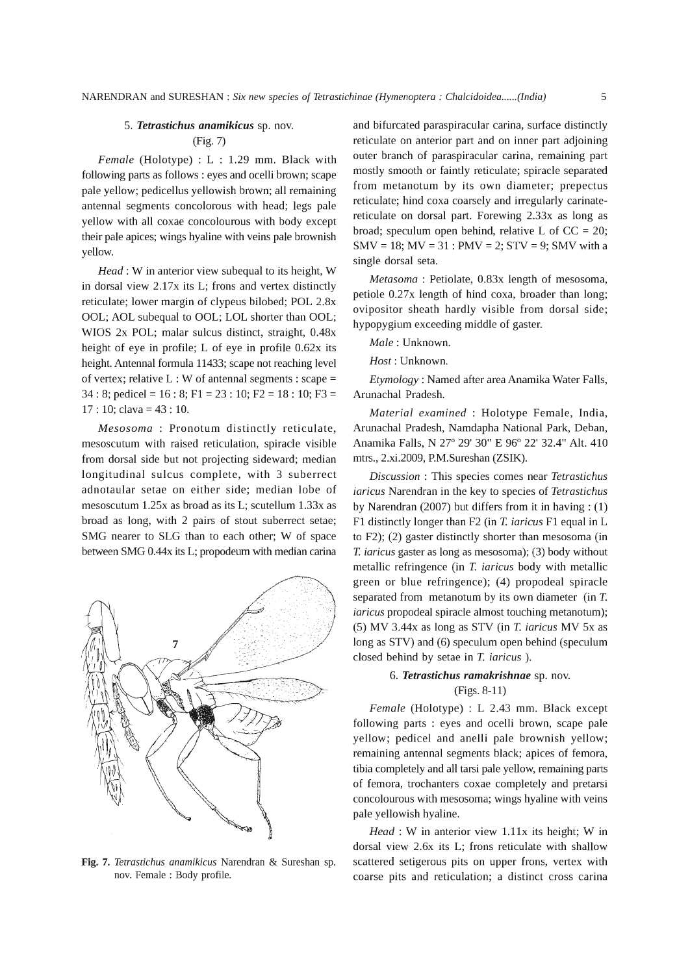### *5. Tetrastichus anamikicus* sp. nov.

#### (Fig. 7)

*Female* (Holotype) : L : 1.29 mm. Black with following parts as follows : eyes and ocelli brown; scape pale yellow; pedicellus yellowish brown; all remaining antennal segments concolorous with head; legs pale yellow with all coxae concolourous with body except their pale apices; wings hyaline with veins pale brownish yellow.

*Head:* W in anterior view subequal to its height, W in dorsal view 2.17x its L; frons and vertex distinctly reticulate; lower margin of clypeus bilobed; POL 2.8x OOL; AOL subequal to OOL; LOL shorter than OOL; WIOS 2x POL; malar sulcus distinct, straight, 0.48x height of eye in profile; L of eye in profile 0.62x its height. Antennal formula 11433; scape not reaching level of vertex; relative  $L : W$  of antennal segments : scape = 34 : 8; pedicel = 16 : 8; F1 = 23 : 10; F2 = 18 : 10; F3 = 17: 10; clava = 43: 10.

*Mesosoma* : Pronotum distinctly reticulate, mesoscutum with raised reticulation, spiracle visible from dorsal side but not projecting sideward; median longitudinal sulcus complete, with 3 suberrect adnotaular setae on either side; median lobe of mesoscutum 1.25x as broad as its L; scutellum 1.33x as broad as long, with 2 pairs of stout suberrect setae; SMG nearer to SLG than to each other; W of space between SMG O.44x its L; propodeum with median carina



and bifurcated paraspiracular carina, surface distinctly reticulate on anterior part and on inner part adjoining outer branch of paraspiracular carina, remaining part mostly smooth or faintly reticulate; spiracle separated from metanotum by its own diameter; prepectus reticulate; hind coxa coarsely and irregularly carinatereticulate on dorsal part. Forewing 2.33x as long as broad; speculum open behind, relative L of  $CC = 20$ ;  $SMV = 18$ ;  $MV = 31$ :  $PMV = 2$ ;  $STV = 9$ ;  $SMV$  with a single dorsal seta.

*Metasoma* : Petiolate, 0.83x length of mesosoma, petiole 0.27x length of hind coxa, broader than long; ovipositor sheath hardly visible from dorsal side; hypopygium exceeding middle of gaster.

*Male:* Unknown.

*Host:* Unknown.

*Etymology:* Named after area Anamika Water Falls, Arunachal Pradesh.

*Material examined* : Holotype Female, India, Arunachal Pradesh, Namdapha National Park, Deban, Anamika Falls, N 27° 29' 30" E 96° 22' 32.4" Alt. 410 mtrs., 2.xi.2009, P.M.Sureshan (ZSIK).

*Discussion* : This species comes near *Tetrastichus iaricus* Narendran in the key to species of *Tetrastichus*  by Narendran (2007) but differs from it in having: (1) F1 distinctly longer than F2 (in *T. iaricus* F1 equal in L to F2); (2) gaster distinctly shorter than mesosoma (in *T. iaricus* gaster as long as mesosoma); (3) body without metallic refringence (in *T. iaricus* body with metallic green or blue refringence); (4) propodeal spiracle separated from metanotum by its own diameter (in *T. iaricus* propodeal spiracle almost touching metanotum); (5) MV 3.44x as long as STY (in *T. iaricus* MV 5x as long as STY) and (6) speculum open behind (speculum closed behind by setae in *T. iaricus* ).

## *6. Tetrastichus ramakrishnae* sp. nov. (Figs. 8-11)

*Female* (Holotype) : L 2.43 mm. Black except following parts : eyes and ocelli brown, scape pale yellow; pedicel and anelli pale brownish yellow; remaining antennal segments black; apices of femora, tibia completely and all tarsi pale yellow, remaining parts of femora, trochanters coxae completely and pretarsi concolourous with mesosoma; wings hyaline with veins pale yellowish hyaline.

*Head* : W in anterior view 1.11x its height; W in dorsal view 2.6x its L; frons reticulate with shallow Fig. 7. *Tetrastichus anamikicus* Narendran & Sureshan sp. scattered setigerous pits on upper frons, vertex with nov. Female : Body profile. coarse pits and reticulation; a distinct cross carina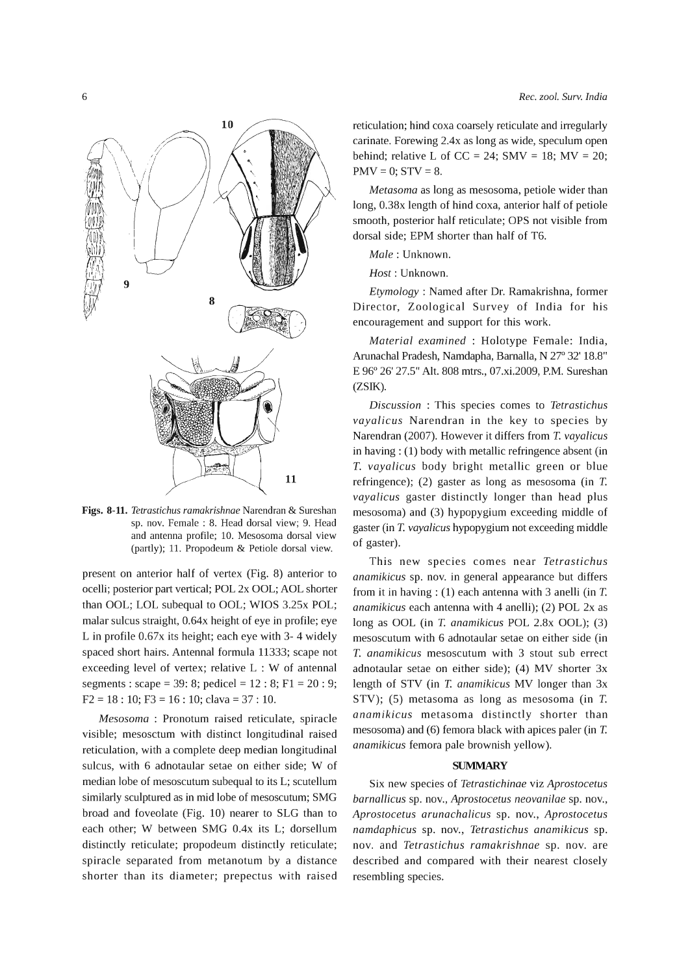

Figs. **8-11.** *Tetrastichus ramakrishnae* Narendran & Sureshan sp. nov. Female : 8. Head dorsal view; 9. Head and antenna profile; 10. Mesosoma dorsal view (partly); 11. Propodeum & Petiole dorsal view.

present on anterior half of vertex (Fig. 8) anterior to ocelli; posterior part vertical; POL 2x OOL; AOL shorter than OOL; LOL subequal to OOL; WIOS 3.25x POL; malar sulcus straight, 0.64x height of eye in profile; eye L in profile 0.67x its height; each eye with 3- 4 widely spaced short hairs. Antennal formula 11333; scape not exceeding level of vertex; relative L : W of antennal segments: scape = 39: 8; pedicel = 12 : 8; F1 = 20 : 9; F2 = 18 : 10; F3 = 16 : 10; clava = 37 : 10.

*Mesosoma* : Pronotum raised reticulate, spiracle visible; mesosctum with distinct longitudinal raised reticulation, with a complete deep median longitudinal sulcus, with 6 adnotaular setae on either side; W of median lobe of mesoscutum subequal to its L; scutellum similarly sculptured as in mid lobe of mesoscutum; SMG broad and foveolate (Fig. 10) nearer to SLG than to each other; W between SMG *OAx* its L; dorsellum distinctly reticulate; propodeum distinctly reticulate; spiracle separated from metanotum by a distance shorter than its diameter; prepectus with raised

reticulation; hind coxa coarsely reticulate and irregularly carinate. Forewing *2Ax* as long as wide, speculum open behind; relative L of CC = 24; SMV = 18; MV = 20;  $PMV = 0$ ;  $STV = 8$ .

*Metasoma* as long as mesosoma, petiole wider than long, 0.38x length of hind coxa, anterior half of petiole smooth, posterior half reticulate; OPS not visible from dorsal side; EPM shorter than half of T6.

*Male:* Unknown.

*Host:* Unknown.

*Etymology:* Named after Dr. Ramakrishna, former Director, Zoological Survey of India for his encouragement and support for this work.

*Material examined* : Holotype Female: India, Arunachal Pradesh, Namdapha, Barnalla, N 27° 32' 18.8" E 96° 26' 27.5" Alt. 808 mtrs., 07.xi.2009, P.M. Sureshan (ZSIK).

*Discussion* : This species comes to *Tetrastichus vayalicus* Narendran in the key to species by Narendran (2007). However it differs from *T. vayalicus*  in having: (1) body with metallic refringence absent (in *T. vayalicus* body bright metallic green or blue refringence); (2) gaster as long as mesosoma (in *T. vayalicus* gaster distinctly longer than head plus mesosoma) and (3) hypopygium exceeding middle of gaster (in *T. vayalicus* hypopygium not exceeding middle of gaster).

This new species comes near *Tetrastichus anamikicus* sp. nov. in general appearance but differs from it in having: (1) each antenna with 3 anelli (in *T. anamikicus* each antenna with 4 anelli); (2) POL 2x as long as OOL (in *T. anamikicus* POL 2.8x OOL); (3) mesoscutum with 6 adnotaular setae on either side (in *T. anamikicus* mesoscutum with 3 stout sub errect adnotaular setae on either side); (4) MV shorter 3x length of STY (in *T. anamikicus* MV longer than 3x STY); (5) metasoma as long as mesosoma (in *T. anamikicus* metasoma distinctly shorter than mesosoma) and (6) femora black with apices paler (in *T. anamikicus* femora pale brownish yellow).

#### **SUMMARY**

Six new species of *Tetrastichinae* viz *Aprostocetus barnallicus* sp. nov., *Aprostocetus neovanilae* sp. nov., *Aprostocetus arunachalicus* sp. nov., *Aprostocetus namdaphicus* sp. nov., *Tetrastichus anamikicus* sp. nov. and *Tetrastichus ramakrishnae* sp. nov. are described and compared with their nearest closely resembling species.